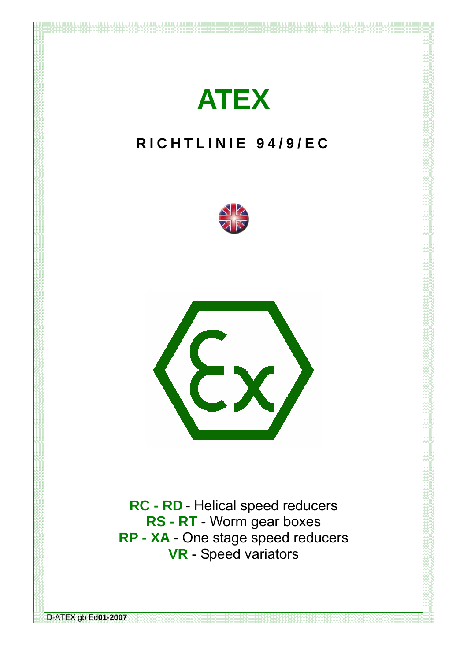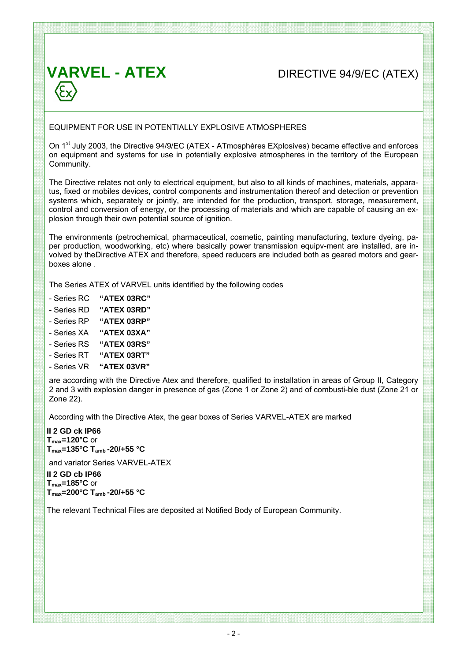## **VARVEL - ATEX** DIRECTIVE 94/9/EC (ATEX)

### EQUIPMENT FOR USE IN POTENTIALLY EXPLOSIVE ATMOSPHERES

On 1<sup>st</sup> July 2003, the Directive 94/9/EC (ATEX - ATmosphères EXplosives) became effective and enforces on equipment and systems for use in potentially explosive atmospheres in the territory of the European Community.

The Directive relates not only to electrical equipment, but also to all kinds of machines, materials, apparatus, fixed or mobiles devices, control components and instrumentation thereof and detection or prevention systems which, separately or jointly, are intended for the production, transport, storage, measurement, control and conversion of energy, or the processing of materials and which are capable of causing an explosion through their own potential source of ignition.

The environments (petrochemical, pharmaceutical, cosmetic, painting manufacturing, texture dyeing, paper production, woodworking, etc) where basically power transmission equipv-ment are installed, are involved by theDirective ATEX and therefore, speed reducers are included both as geared motors and gearboxes alone .

The Series ATEX of VARVEL units identified by the following codes

- Series RC **"ATEX 03RC"**
- Series RD **"ATEX 03RD"**
- Series RP **"ATEX 03RP"**
- Series XA **"ATEX 03XA"**
- Series RS **"ATEX 03RS"**
- Series RT **"ATEX 03RT"**
- Series VR **"ATEX 03VR"**

are according with the Directive Atex and therefore, qualified to installation in areas of Group II, Category 2 and 3 with explosion danger in presence of gas (Zone 1 or Zone 2) and of combusti-ble dust (Zone 21 or Zone 22).

According with the Directive Atex, the gear boxes of Series VARVEL-ATEX are marked

**II 2 GD ck IP66**  $T_{\text{max}}$ =120 $^{\circ}$ C or **Tmax=135°C Tamb -20/+55 °C** 

and variator Series VARVEL-ATEX

**II 2 GD cb IP66 Tmax=185°C** or **Tmax=200°C Tamb -20/+55 °C** 

The relevant Technical Files are deposited at Notified Body of European Community.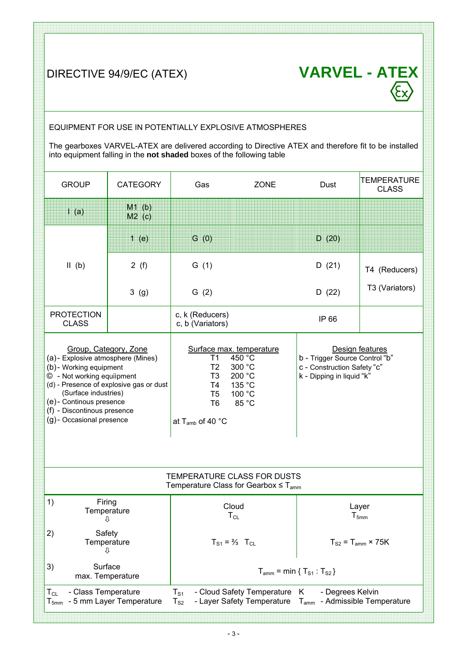DIRECTIVE 94/9/EC (ATEX) **VARVEL - ATEX**  $\sqrt{\varepsilon_{\mathbf{x}}}$ 

## EQUIPMENT FOR USE IN POTENTIALLY EXPLOSIVE ATMOSPHERES

The gearboxes VARVEL-ATEX are delivered according to Directive ATEX and therefore fit to be installed into equipment falling in the **not shaded** boxes of the following table

| <b>GROUP</b>                                                                                                                                                                                                                                                                   | <b>CATEGORY</b>          | Gas                                                                                                                        | <b>ZONE</b>                                                                         | Dust                                                                                       | <b>TEMPERATURE</b><br><b>CLASS</b> |  |  |  |  |
|--------------------------------------------------------------------------------------------------------------------------------------------------------------------------------------------------------------------------------------------------------------------------------|--------------------------|----------------------------------------------------------------------------------------------------------------------------|-------------------------------------------------------------------------------------|--------------------------------------------------------------------------------------------|------------------------------------|--|--|--|--|
| $\mathsf{I}^{\bullet}(\mathsf{a})$                                                                                                                                                                                                                                             | $M1$ (b)<br>$M2$ (c)     |                                                                                                                            |                                                                                     |                                                                                            |                                    |  |  |  |  |
|                                                                                                                                                                                                                                                                                | 1(e)                     | G(0)                                                                                                                       |                                                                                     | D(20)                                                                                      |                                    |  |  |  |  |
| $II$ (b)                                                                                                                                                                                                                                                                       | 2(f)                     | G(1)                                                                                                                       |                                                                                     | D(21)                                                                                      | T4 (Reducers)                      |  |  |  |  |
|                                                                                                                                                                                                                                                                                | 3(9)                     | G(2)                                                                                                                       |                                                                                     | D(22)                                                                                      | T3 (Variators)                     |  |  |  |  |
| <b>PROTECTION</b><br><b>CLASS</b>                                                                                                                                                                                                                                              |                          | c, k (Reducers)<br>c, b (Variators)                                                                                        |                                                                                     | IP 66                                                                                      |                                    |  |  |  |  |
| Group, Category, Zone<br>(a) - Explosive atmosphere (Mines)<br>(b) - Working equipment<br>© - Not working equilpment<br>(d) - Presence of explosive gas or dust<br>(Surface industries)<br>(e) - Continous presence<br>(f) - Discontinous presence<br>(g)- Occasional presence |                          | T1<br>T <sub>2</sub><br>T <sub>3</sub><br>T4<br>T <sub>5</sub><br>T <sub>6</sub><br>at T <sub>amb</sub> of 40 $^{\circ}$ C | Surface max. temperature<br>450 °C<br>300 °C<br>200 °C<br>135 °C<br>100 °C<br>85 °C | b - Trigger Source Control "b"<br>c - Construction Safety "c"<br>k - Dipping in liquid "k" | Design features                    |  |  |  |  |
| TEMPERATURE CLASS FOR DUSTS<br>Temperature Class for Gearbox $\leq T_{\text{amm}}$                                                                                                                                                                                             |                          |                                                                                                                            |                                                                                     |                                                                                            |                                    |  |  |  |  |
| 1)<br>Firing<br>Temperature<br>⇩                                                                                                                                                                                                                                               |                          | Cloud<br>$T_{CL}$                                                                                                          |                                                                                     | Layer<br>$T_{5mm}$                                                                         |                                    |  |  |  |  |
| 2)<br>Safety<br>Temperature<br>⇩                                                                                                                                                                                                                                               |                          | $T_{S1} = \frac{2}{3}$ $T_{CL}$                                                                                            |                                                                                     | $T_{S2}$ = $T_{amm}$ × 75K                                                                 |                                    |  |  |  |  |
| 3)<br>Surface<br>max. Temperature                                                                                                                                                                                                                                              |                          |                                                                                                                            |                                                                                     | $T_{\text{amm}} = \min \{ T_{S1} : T_{S2} \}$                                              |                                    |  |  |  |  |
| - Class Temperature<br>$T_{CL}$<br>${\mathsf T}_{\mathsf{5mm}}$                                                                                                                                                                                                                | - 5 mm Layer Temperature | $T_{S1}$<br>$T_{S2}$                                                                                                       | - Cloud Safety Temperature<br>- Layer Safety Temperature                            | K<br>- Degrees Kelvin<br>$T_{\text{amm}}$ - Admissible Temperature                         |                                    |  |  |  |  |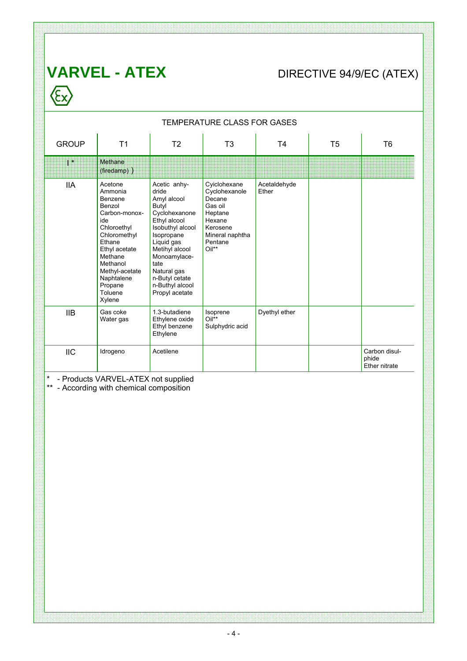# **VARVEL - ATEX** DIRECTIVE 94/9/EC (ATEX)  $\left\langle \sum_{x} \right\rangle$

| <b>TEMPERATURE CLASS FOR GASES</b> |                                                                                                                                                                                                                  |                                                                                                                                                                                                                                                |                                                                                                                            |                       |                |                                         |  |  |  |
|------------------------------------|------------------------------------------------------------------------------------------------------------------------------------------------------------------------------------------------------------------|------------------------------------------------------------------------------------------------------------------------------------------------------------------------------------------------------------------------------------------------|----------------------------------------------------------------------------------------------------------------------------|-----------------------|----------------|-----------------------------------------|--|--|--|
| <b>GROUP</b>                       | T <sub>1</sub>                                                                                                                                                                                                   | T <sub>2</sub>                                                                                                                                                                                                                                 | T <sub>3</sub>                                                                                                             | T <sub>4</sub>        | T <sub>5</sub> | T <sub>6</sub>                          |  |  |  |
| $\mathbf{I}^*$                     | Methane<br>(firedamp))                                                                                                                                                                                           |                                                                                                                                                                                                                                                |                                                                                                                            |                       |                |                                         |  |  |  |
| <b>IIA</b>                         | Acetone<br>Ammonia<br>Benzene<br>Benzol<br>Carbon-monox-<br>ide<br>Chloroethyl<br>Chloromethyl<br>Ethane<br>Ethyl acetate<br>Methane<br>Methanol<br>Methyl-acetate<br>Naphtalene<br>Propane<br>Toluene<br>Xylene | Acetic anhy-<br>dride<br>Amyl alcool<br>Butyl<br>Cyclohexanone<br>Ethyl alcool<br>Isobuthyl alcool<br>Isopropane<br>Liquid gas<br>Metihyl alcool<br>Monoamylace-<br>tate<br>Natural gas<br>n-Butyl cetate<br>n-Buthyl alcool<br>Propyl acetate | Cyiclohexane<br>Cyclohexanole<br>Decane<br>Gas oil<br>Heptane<br>Hexane<br>Kerosene<br>Mineral naphtha<br>Pentane<br>Oil** | Acetaldehyde<br>Ether |                |                                         |  |  |  |
| <b>IIB</b>                         | Gas coke<br>Water gas                                                                                                                                                                                            | 1.3-butadiene<br>Ethylene oxide<br>Ethyl benzene<br>Ethylene                                                                                                                                                                                   | Isoprene<br>Oil**<br>Sulphydric acid                                                                                       | Dyethyl ether         |                |                                         |  |  |  |
| <b>IIC</b>                         | Idrogeno                                                                                                                                                                                                         | Acetilene                                                                                                                                                                                                                                      |                                                                                                                            |                       |                | Carbon disul-<br>phide<br>Ether nitrate |  |  |  |

\* - Products VARVEL-ATEX not supplied

\*\* - According with chemical composition

<u> 1999 - Johann Stoff, Amerikaansk politiker (f. 1989)</u>